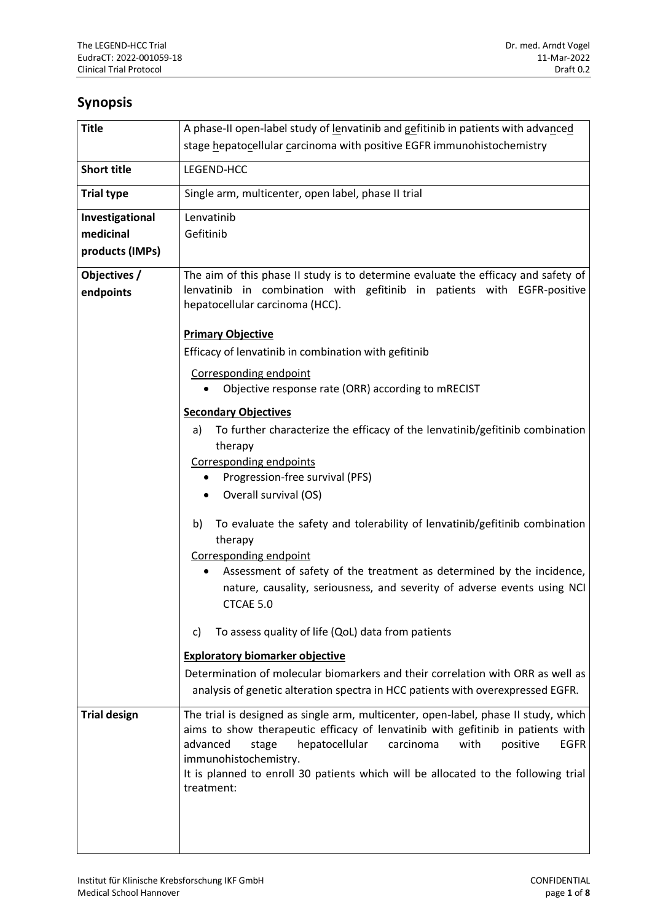## **Synopsis**

| <b>Title</b>        | A phase-II open-label study of lenvatinib and gefitinib in patients with advanced                           |
|---------------------|-------------------------------------------------------------------------------------------------------------|
|                     | stage hepatocellular carcinoma with positive EGFR immunohistochemistry                                      |
| <b>Short title</b>  | LEGEND-HCC                                                                                                  |
| <b>Trial type</b>   | Single arm, multicenter, open label, phase II trial                                                         |
| Investigational     | Lenvatinib                                                                                                  |
| medicinal           | Gefitinib                                                                                                   |
| products (IMPs)     |                                                                                                             |
| Objectives /        | The aim of this phase II study is to determine evaluate the efficacy and safety of                          |
| endpoints           | lenvatinib in combination with gefitinib in patients with EGFR-positive<br>hepatocellular carcinoma (HCC).  |
|                     | <b>Primary Objective</b>                                                                                    |
|                     | Efficacy of lenvatinib in combination with gefitinib                                                        |
|                     | Corresponding endpoint                                                                                      |
|                     | Objective response rate (ORR) according to mRECIST                                                          |
|                     | <b>Secondary Objectives</b>                                                                                 |
|                     | To further characterize the efficacy of the lenvatinib/gefitinib combination<br>a)                          |
|                     | therapy                                                                                                     |
|                     | <b>Corresponding endpoints</b>                                                                              |
|                     | Progression-free survival (PFS)                                                                             |
|                     | Overall survival (OS)                                                                                       |
|                     | To evaluate the safety and tolerability of lenvatinib/gefitinib combination<br>b)                           |
|                     | therapy                                                                                                     |
|                     | Corresponding endpoint                                                                                      |
|                     | Assessment of safety of the treatment as determined by the incidence,                                       |
|                     | nature, causality, seriousness, and severity of adverse events using NCI                                    |
|                     | CTCAE 5.0                                                                                                   |
|                     | To assess quality of life (QoL) data from patients<br>C)                                                    |
|                     | <b>Exploratory biomarker objective</b>                                                                      |
|                     | Determination of molecular biomarkers and their correlation with ORR as well as                             |
|                     | analysis of genetic alteration spectra in HCC patients with overexpressed EGFR.                             |
| <b>Trial design</b> | The trial is designed as single arm, multicenter, open-label, phase II study, which                         |
|                     | aims to show therapeutic efficacy of lenvatinib with gefitinib in patients with                             |
|                     | advanced<br>hepatocellular<br>carcinoma<br>with<br>positive<br><b>EGFR</b><br>stage                         |
|                     | immunohistochemistry.<br>It is planned to enroll 30 patients which will be allocated to the following trial |
|                     | treatment:                                                                                                  |
|                     |                                                                                                             |
|                     |                                                                                                             |
|                     |                                                                                                             |
|                     |                                                                                                             |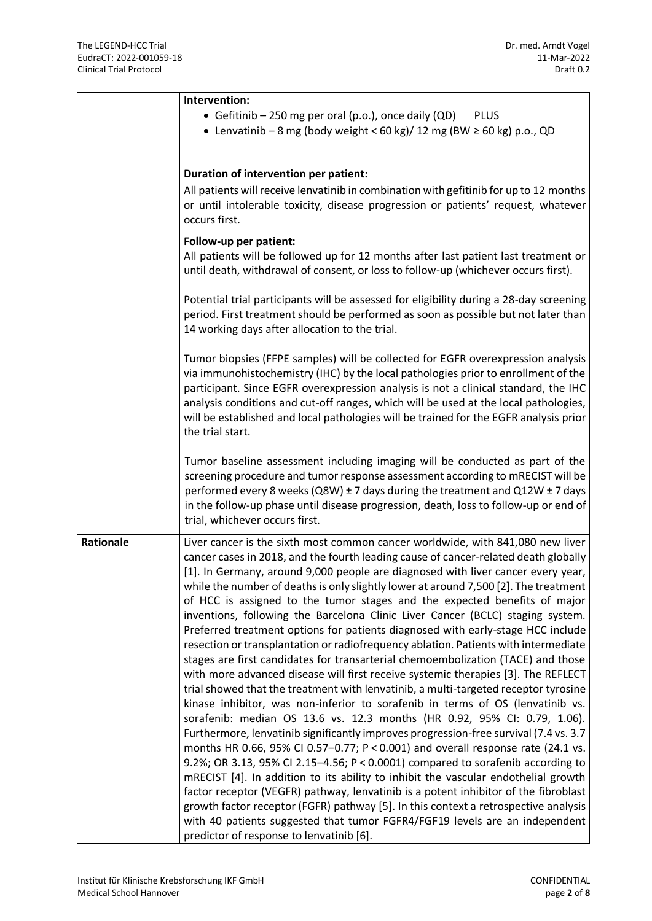|           | Intervention:                                                                                                                                              |
|-----------|------------------------------------------------------------------------------------------------------------------------------------------------------------|
|           | • Gefitinib – 250 mg per oral (p.o.), once daily (QD)<br><b>PLUS</b>                                                                                       |
|           | • Lenvatinib - 8 mg (body weight < 60 kg)/ 12 mg (BW $\geq$ 60 kg) p.o., QD                                                                                |
|           |                                                                                                                                                            |
|           |                                                                                                                                                            |
|           | Duration of intervention per patient:                                                                                                                      |
|           | All patients will receive lenvatinib in combination with gefitinib for up to 12 months                                                                     |
|           | or until intolerable toxicity, disease progression or patients' request, whatever                                                                          |
|           | occurs first.                                                                                                                                              |
|           | Follow-up per patient:                                                                                                                                     |
|           | All patients will be followed up for 12 months after last patient last treatment or                                                                        |
|           | until death, withdrawal of consent, or loss to follow-up (whichever occurs first).                                                                         |
|           |                                                                                                                                                            |
|           | Potential trial participants will be assessed for eligibility during a 28-day screening                                                                    |
|           | period. First treatment should be performed as soon as possible but not later than                                                                         |
|           | 14 working days after allocation to the trial.                                                                                                             |
|           | Tumor biopsies (FFPE samples) will be collected for EGFR overexpression analysis                                                                           |
|           | via immunohistochemistry (IHC) by the local pathologies prior to enrollment of the                                                                         |
|           | participant. Since EGFR overexpression analysis is not a clinical standard, the IHC                                                                        |
|           | analysis conditions and cut-off ranges, which will be used at the local pathologies,                                                                       |
|           | will be established and local pathologies will be trained for the EGFR analysis prior                                                                      |
|           | the trial start.                                                                                                                                           |
|           |                                                                                                                                                            |
|           | Tumor baseline assessment including imaging will be conducted as part of the                                                                               |
|           | screening procedure and tumor response assessment according to mRECIST will be                                                                             |
|           | performed every 8 weeks (Q8W) $\pm$ 7 days during the treatment and Q12W $\pm$ 7 days                                                                      |
|           | in the follow-up phase until disease progression, death, loss to follow-up or end of                                                                       |
|           | trial, whichever occurs first.                                                                                                                             |
| Rationale | Liver cancer is the sixth most common cancer worldwide, with 841,080 new liver                                                                             |
|           | cancer cases in 2018, and the fourth leading cause of cancer-related death globally                                                                        |
|           | [1]. In Germany, around 9,000 people are diagnosed with liver cancer every year,                                                                           |
|           | while the number of deaths is only slightly lower at around 7,500 [2]. The treatment                                                                       |
|           | of HCC is assigned to the tumor stages and the expected benefits of major                                                                                  |
|           | inventions, following the Barcelona Clinic Liver Cancer (BCLC) staging system.                                                                             |
|           | Preferred treatment options for patients diagnosed with early-stage HCC include                                                                            |
|           | resection or transplantation or radiofrequency ablation. Patients with intermediate                                                                        |
|           | stages are first candidates for transarterial chemoembolization (TACE) and those                                                                           |
|           | with more advanced disease will first receive systemic therapies [3]. The REFLECT                                                                          |
|           | trial showed that the treatment with lenvatinib, a multi-targeted receptor tyrosine                                                                        |
|           | kinase inhibitor, was non-inferior to sorafenib in terms of OS (lenvatinib vs.<br>sorafenib: median OS 13.6 vs. 12.3 months (HR 0.92, 95% CI: 0.79, 1.06). |
|           | Furthermore, lenvatinib significantly improves progression-free survival (7.4 vs. 3.7                                                                      |
|           | months HR 0.66, 95% CI 0.57-0.77; P < 0.001) and overall response rate (24.1 vs.                                                                           |
|           | 9.2%; OR 3.13, 95% CI 2.15-4.56; P < 0.0001) compared to sorafenib according to                                                                            |
|           | mRECIST [4]. In addition to its ability to inhibit the vascular endothelial growth                                                                         |
|           | factor receptor (VEGFR) pathway, lenvatinib is a potent inhibitor of the fibroblast                                                                        |
|           | growth factor receptor (FGFR) pathway [5]. In this context a retrospective analysis                                                                        |
|           | with 40 patients suggested that tumor FGFR4/FGF19 levels are an independent                                                                                |
|           | predictor of response to lenvatinib [6].                                                                                                                   |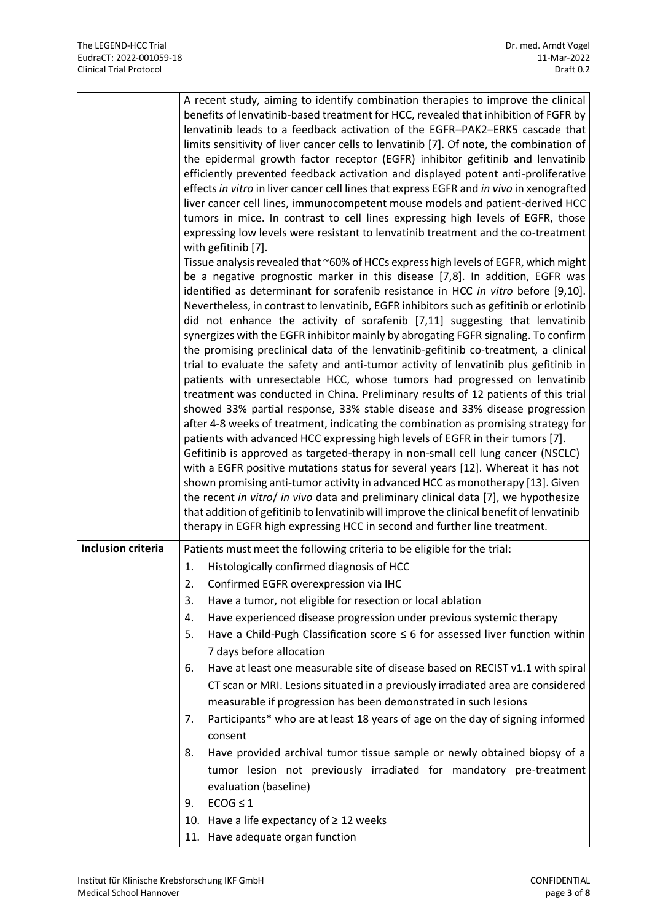|                           | A recent study, aiming to identify combination therapies to improve the clinical<br>benefits of lenvatinib-based treatment for HCC, revealed that inhibition of FGFR by<br>lenvatinib leads to a feedback activation of the EGFR-PAK2-ERK5 cascade that<br>limits sensitivity of liver cancer cells to lenvatinib [7]. Of note, the combination of<br>the epidermal growth factor receptor (EGFR) inhibitor gefitinib and lenvatinib<br>efficiently prevented feedback activation and displayed potent anti-proliferative<br>effects in vitro in liver cancer cell lines that express EGFR and in vivo in xenografted<br>liver cancer cell lines, immunocompetent mouse models and patient-derived HCC<br>tumors in mice. In contrast to cell lines expressing high levels of EGFR, those<br>expressing low levels were resistant to lenvatinib treatment and the co-treatment<br>with gefitinib [7].<br>Tissue analysis revealed that ~60% of HCCs express high levels of EGFR, which might<br>be a negative prognostic marker in this disease [7,8]. In addition, EGFR was<br>identified as determinant for sorafenib resistance in HCC in vitro before [9,10].<br>Nevertheless, in contrast to lenvatinib, EGFR inhibitors such as gefitinib or erlotinib<br>did not enhance the activity of sorafenib [7,11] suggesting that lenvatinib<br>synergizes with the EGFR inhibitor mainly by abrogating FGFR signaling. To confirm<br>the promising preclinical data of the lenvatinib-gefitinib co-treatment, a clinical<br>trial to evaluate the safety and anti-tumor activity of lenvatinib plus gefitinib in<br>patients with unresectable HCC, whose tumors had progressed on lenvatinib<br>treatment was conducted in China. Preliminary results of 12 patients of this trial<br>showed 33% partial response, 33% stable disease and 33% disease progression<br>after 4-8 weeks of treatment, indicating the combination as promising strategy for<br>patients with advanced HCC expressing high levels of EGFR in their tumors [7].<br>Gefitinib is approved as targeted-therapy in non-small cell lung cancer (NSCLC)<br>with a EGFR positive mutations status for several years [12]. Whereat it has not<br>shown promising anti-tumor activity in advanced HCC as monotherapy [13]. Given |
|---------------------------|-----------------------------------------------------------------------------------------------------------------------------------------------------------------------------------------------------------------------------------------------------------------------------------------------------------------------------------------------------------------------------------------------------------------------------------------------------------------------------------------------------------------------------------------------------------------------------------------------------------------------------------------------------------------------------------------------------------------------------------------------------------------------------------------------------------------------------------------------------------------------------------------------------------------------------------------------------------------------------------------------------------------------------------------------------------------------------------------------------------------------------------------------------------------------------------------------------------------------------------------------------------------------------------------------------------------------------------------------------------------------------------------------------------------------------------------------------------------------------------------------------------------------------------------------------------------------------------------------------------------------------------------------------------------------------------------------------------------------------------------------------------------------------------------------------------------------------------------------------------------------------------------------------------------------------------------------------------------------------------------------------------------------------------------------------------------------------------------------------------------------------------------------------------------------------------------------------------------------------------------------------------------------------------------------------|
|                           | the recent in vitro/ in vivo data and preliminary clinical data [7], we hypothesize<br>that addition of gefitinib to lenvatinib will improve the clinical benefit of lenvatinib                                                                                                                                                                                                                                                                                                                                                                                                                                                                                                                                                                                                                                                                                                                                                                                                                                                                                                                                                                                                                                                                                                                                                                                                                                                                                                                                                                                                                                                                                                                                                                                                                                                                                                                                                                                                                                                                                                                                                                                                                                                                                                                     |
|                           | therapy in EGFR high expressing HCC in second and further line treatment.                                                                                                                                                                                                                                                                                                                                                                                                                                                                                                                                                                                                                                                                                                                                                                                                                                                                                                                                                                                                                                                                                                                                                                                                                                                                                                                                                                                                                                                                                                                                                                                                                                                                                                                                                                                                                                                                                                                                                                                                                                                                                                                                                                                                                           |
| <b>Inclusion criteria</b> | Patients must meet the following criteria to be eligible for the trial:<br>Histologically confirmed diagnosis of HCC<br>1.<br>2.<br>Confirmed EGFR overexpression via IHC<br>Have a tumor, not eligible for resection or local ablation<br>3.<br>Have experienced disease progression under previous systemic therapy<br>4.<br>5.<br>Have a Child-Pugh Classification score $\leq$ 6 for assessed liver function within<br>7 days before allocation<br>Have at least one measurable site of disease based on RECIST v1.1 with spiral<br>6.<br>CT scan or MRI. Lesions situated in a previously irradiated area are considered<br>measurable if progression has been demonstrated in such lesions<br>Participants* who are at least 18 years of age on the day of signing informed<br>7.<br>consent<br>Have provided archival tumor tissue sample or newly obtained biopsy of a<br>8.<br>tumor lesion not previously irradiated for mandatory pre-treatment<br>evaluation (baseline)<br>$ECOG \leq 1$<br>9.<br>10. Have a life expectancy of ≥ 12 weeks                                                                                                                                                                                                                                                                                                                                                                                                                                                                                                                                                                                                                                                                                                                                                                                                                                                                                                                                                                                                                                                                                                                                                                                                                                              |
|                           | 11. Have adequate organ function                                                                                                                                                                                                                                                                                                                                                                                                                                                                                                                                                                                                                                                                                                                                                                                                                                                                                                                                                                                                                                                                                                                                                                                                                                                                                                                                                                                                                                                                                                                                                                                                                                                                                                                                                                                                                                                                                                                                                                                                                                                                                                                                                                                                                                                                    |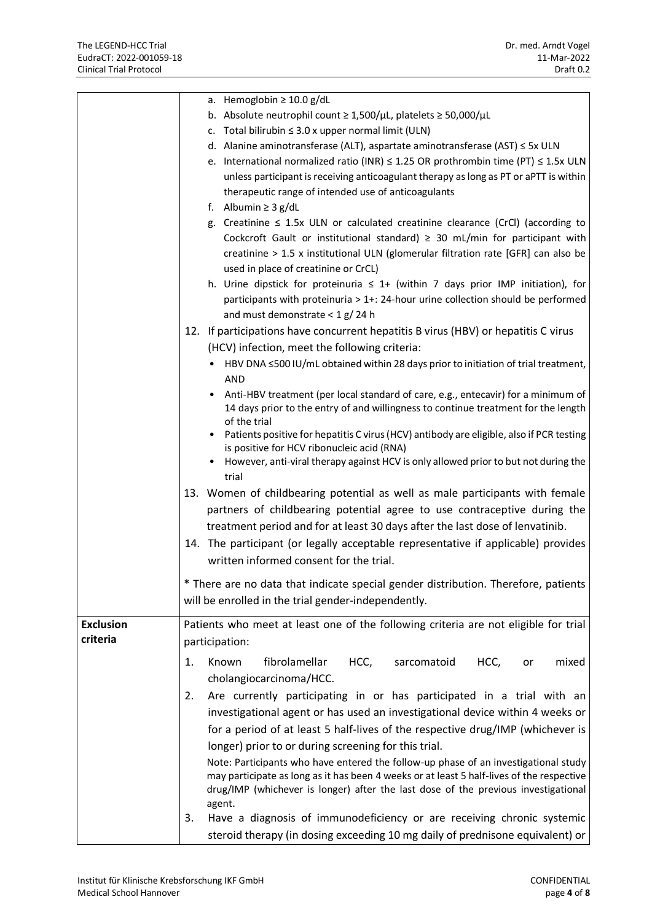|                  | a. Hemoglobin $\geq 10.0$ g/dL                                                               |
|------------------|----------------------------------------------------------------------------------------------|
|                  | b. Absolute neutrophil count $\geq 1,500/\mu L$ , platelets $\geq 50,000/\mu L$              |
|                  | c. Total bilirubin $\leq$ 3.0 x upper normal limit (ULN)                                     |
|                  | d. Alanine aminotransferase (ALT), aspartate aminotransferase (AST) $\leq$ 5x ULN            |
|                  | e. International normalized ratio (INR) $\leq$ 1.25 OR prothrombin time (PT) $\leq$ 1.5x ULN |
|                  | unless participant is receiving anticoagulant therapy as long as PT or aPTT is within        |
|                  | therapeutic range of intended use of anticoagulants                                          |
|                  | f. Albumin $\geq$ 3 g/dL                                                                     |
|                  | g. Creatinine $\leq$ 1.5x ULN or calculated creatinine clearance (CrCl) (according to        |
|                  | Cockcroft Gault or institutional standard) $\geq$ 30 mL/min for participant with             |
|                  | creatinine > 1.5 x institutional ULN (glomerular filtration rate [GFR] can also be           |
|                  | used in place of creatinine or CrCL)                                                         |
|                  | h. Urine dipstick for proteinuria $\leq 1+$ (within 7 days prior IMP initiation), for        |
|                  | participants with proteinuria > 1+: 24-hour urine collection should be performed             |
|                  | and must demonstrate $<$ 1 g/24 h                                                            |
|                  | 12. If participations have concurrent hepatitis B virus (HBV) or hepatitis C virus           |
|                  | (HCV) infection, meet the following criteria:                                                |
|                  | HBV DNA ≤500 IU/mL obtained within 28 days prior to initiation of trial treatment,           |
|                  | <b>AND</b>                                                                                   |
|                  | Anti-HBV treatment (per local standard of care, e.g., entecavir) for a minimum of            |
|                  | 14 days prior to the entry of and willingness to continue treatment for the length           |
|                  | of the trial                                                                                 |
|                  | • Patients positive for hepatitis C virus (HCV) antibody are eligible, also if PCR testing   |
|                  | is positive for HCV ribonucleic acid (RNA)                                                   |
|                  | However, anti-viral therapy against HCV is only allowed prior to but not during the          |
|                  | trial                                                                                        |
|                  | 13. Women of childbearing potential as well as male participants with female                 |
|                  | partners of childbearing potential agree to use contraceptive during the                     |
|                  | treatment period and for at least 30 days after the last dose of lenvatinib.                 |
|                  | 14. The participant (or legally acceptable representative if applicable) provides            |
|                  | written informed consent for the trial.                                                      |
|                  | * There are no data that indicate special gender distribution. Therefore, patients           |
|                  |                                                                                              |
|                  | will be enrolled in the trial gender-independently.                                          |
| <b>Exclusion</b> | Patients who meet at least one of the following criteria are not eligible for trial          |
| criteria         | participation:                                                                               |
|                  | fibrolamellar<br>HCC,<br>Known<br>sarcomatoid<br>HCC,<br>1.<br>mixed<br>or                   |
|                  | cholangiocarcinoma/HCC.                                                                      |
|                  |                                                                                              |
|                  | Are currently participating in or has participated in a trial with an<br>2.                  |
|                  | investigational agent or has used an investigational device within 4 weeks or                |
|                  | for a period of at least 5 half-lives of the respective drug/IMP (whichever is               |
|                  | longer) prior to or during screening for this trial.                                         |
|                  | Note: Participants who have entered the follow-up phase of an investigational study          |
|                  | may participate as long as it has been 4 weeks or at least 5 half-lives of the respective    |
|                  | drug/IMP (whichever is longer) after the last dose of the previous investigational           |
|                  | agent.<br>Have a diagnosis of immunodeficiency or are receiving chronic systemic<br>3.       |
|                  |                                                                                              |
|                  | steroid therapy (in dosing exceeding 10 mg daily of prednisone equivalent) or                |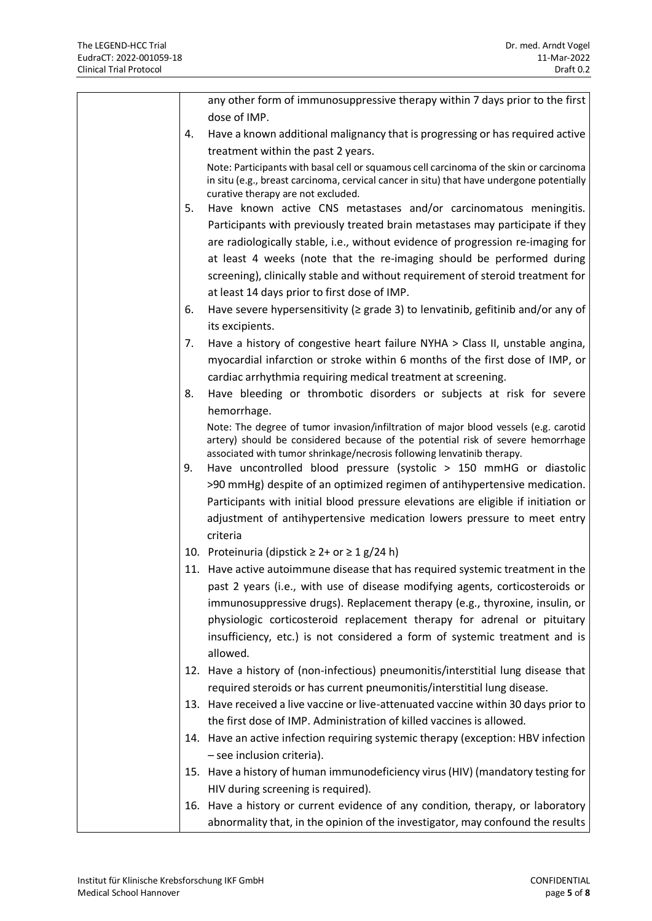|    | any other form of immunosuppressive therapy within 7 days prior to the first<br>dose of IMP.                                                              |
|----|-----------------------------------------------------------------------------------------------------------------------------------------------------------|
| 4. | Have a known additional malignancy that is progressing or has required active                                                                             |
|    | treatment within the past 2 years.                                                                                                                        |
|    | Note: Participants with basal cell or squamous cell carcinoma of the skin or carcinoma                                                                    |
|    | in situ (e.g., breast carcinoma, cervical cancer in situ) that have undergone potentially<br>curative therapy are not excluded.                           |
| 5. | Have known active CNS metastases and/or carcinomatous meningitis.                                                                                         |
|    | Participants with previously treated brain metastases may participate if they                                                                             |
|    | are radiologically stable, i.e., without evidence of progression re-imaging for                                                                           |
|    | at least 4 weeks (note that the re-imaging should be performed during                                                                                     |
|    | screening), clinically stable and without requirement of steroid treatment for                                                                            |
|    | at least 14 days prior to first dose of IMP.                                                                                                              |
| 6. | Have severe hypersensitivity ( $\geq$ grade 3) to lenvatinib, gefitinib and/or any of                                                                     |
|    | its excipients.                                                                                                                                           |
| 7. | Have a history of congestive heart failure NYHA > Class II, unstable angina,                                                                              |
|    | myocardial infarction or stroke within 6 months of the first dose of IMP, or                                                                              |
|    | cardiac arrhythmia requiring medical treatment at screening.                                                                                              |
| 8. | Have bleeding or thrombotic disorders or subjects at risk for severe                                                                                      |
|    | hemorrhage.                                                                                                                                               |
|    | Note: The degree of tumor invasion/infiltration of major blood vessels (e.g. carotid                                                                      |
|    | artery) should be considered because of the potential risk of severe hemorrhage<br>associated with tumor shrinkage/necrosis following lenvatinib therapy. |
| 9. | Have uncontrolled blood pressure (systolic > 150 mmHG or diastolic                                                                                        |
|    | >90 mmHg) despite of an optimized regimen of antihypertensive medication.                                                                                 |
|    | Participants with initial blood pressure elevations are eligible if initiation or                                                                         |
|    | adjustment of antihypertensive medication lowers pressure to meet entry                                                                                   |
|    | criteria                                                                                                                                                  |
|    | 10. Proteinuria (dipstick $\geq 2$ + or $\geq 1$ g/24 h)                                                                                                  |
|    | 11. Have active autoimmune disease that has required systemic treatment in the                                                                            |
|    | past 2 years (i.e., with use of disease modifying agents, corticosteroids or                                                                              |
|    | immunosuppressive drugs). Replacement therapy (e.g., thyroxine, insulin, or                                                                               |
|    | physiologic corticosteroid replacement therapy for adrenal or pituitary                                                                                   |
|    | insufficiency, etc.) is not considered a form of systemic treatment and is                                                                                |
|    | allowed.                                                                                                                                                  |
|    | 12. Have a history of (non-infectious) pneumonitis/interstitial lung disease that                                                                         |
|    | required steroids or has current pneumonitis/interstitial lung disease.                                                                                   |
|    | 13. Have received a live vaccine or live-attenuated vaccine within 30 days prior to                                                                       |
|    | the first dose of IMP. Administration of killed vaccines is allowed.                                                                                      |
|    | 14. Have an active infection requiring systemic therapy (exception: HBV infection                                                                         |
|    | - see inclusion criteria).                                                                                                                                |
|    | 15. Have a history of human immunodeficiency virus (HIV) (mandatory testing for                                                                           |
|    | HIV during screening is required).                                                                                                                        |
|    | 16. Have a history or current evidence of any condition, therapy, or laboratory                                                                           |
|    | abnormality that, in the opinion of the investigator, may confound the results                                                                            |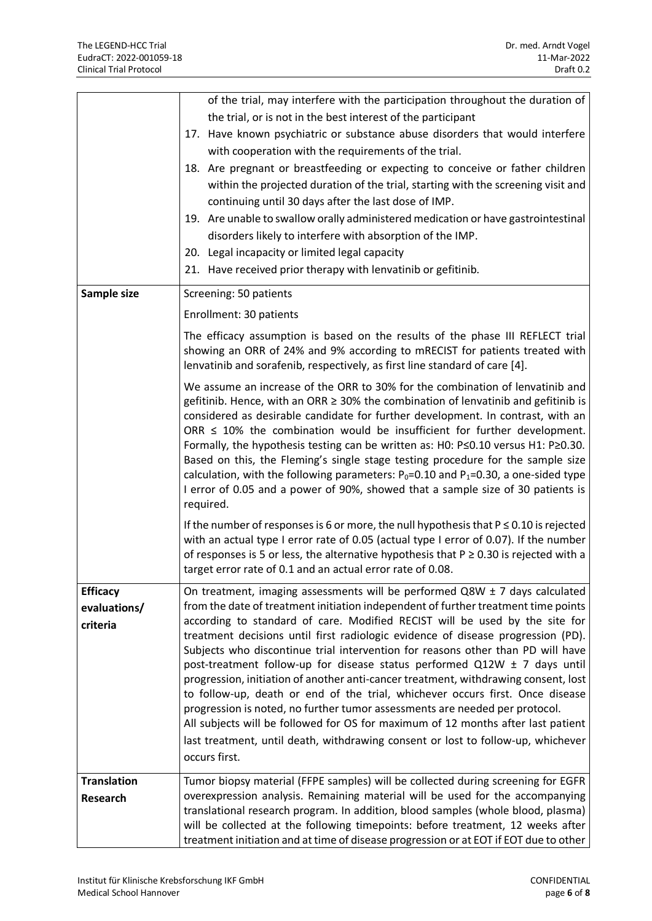|                    | of the trial, may interfere with the participation throughout the duration of                                                                                        |
|--------------------|----------------------------------------------------------------------------------------------------------------------------------------------------------------------|
|                    | the trial, or is not in the best interest of the participant                                                                                                         |
|                    | 17. Have known psychiatric or substance abuse disorders that would interfere                                                                                         |
|                    | with cooperation with the requirements of the trial.                                                                                                                 |
|                    | 18. Are pregnant or breastfeeding or expecting to conceive or father children                                                                                        |
|                    | within the projected duration of the trial, starting with the screening visit and                                                                                    |
|                    | continuing until 30 days after the last dose of IMP.                                                                                                                 |
|                    | 19. Are unable to swallow orally administered medication or have gastrointestinal                                                                                    |
|                    | disorders likely to interfere with absorption of the IMP.                                                                                                            |
|                    | 20. Legal incapacity or limited legal capacity                                                                                                                       |
|                    | 21. Have received prior therapy with lenvatinib or gefitinib.                                                                                                        |
| Sample size        | Screening: 50 patients                                                                                                                                               |
|                    | Enrollment: 30 patients                                                                                                                                              |
|                    | The efficacy assumption is based on the results of the phase III REFLECT trial                                                                                       |
|                    | showing an ORR of 24% and 9% according to mRECIST for patients treated with                                                                                          |
|                    | lenvatinib and sorafenib, respectively, as first line standard of care [4].                                                                                          |
|                    | We assume an increase of the ORR to 30% for the combination of lenvatinib and                                                                                        |
|                    | gefitinib. Hence, with an ORR ≥ 30% the combination of lenvatinib and gefitinib is                                                                                   |
|                    | considered as desirable candidate for further development. In contrast, with an                                                                                      |
|                    | ORR $\leq$ 10% the combination would be insufficient for further development.                                                                                        |
|                    | Formally, the hypothesis testing can be written as: H0: P≤0.10 versus H1: P≥0.30.<br>Based on this, the Fleming's single stage testing procedure for the sample size |
|                    | calculation, with the following parameters: $P_0 = 0.10$ and $P_1 = 0.30$ , a one-sided type                                                                         |
|                    | I error of 0.05 and a power of 90%, showed that a sample size of 30 patients is                                                                                      |
|                    | required.                                                                                                                                                            |
|                    | If the number of responses is 6 or more, the null hypothesis that $P \le 0.10$ is rejected                                                                           |
|                    | with an actual type I error rate of 0.05 (actual type I error of 0.07). If the number                                                                                |
|                    | of responses is 5 or less, the alternative hypothesis that $P \ge 0.30$ is rejected with a                                                                           |
|                    | target error rate of 0.1 and an actual error rate of 0.08.                                                                                                           |
| <b>Efficacy</b>    | On treatment, imaging assessments will be performed $Q8W \pm 7$ days calculated                                                                                      |
| evaluations/       | from the date of treatment initiation independent of further treatment time points                                                                                   |
| criteria           | according to standard of care. Modified RECIST will be used by the site for                                                                                          |
|                    | treatment decisions until first radiologic evidence of disease progression (PD).                                                                                     |
|                    | Subjects who discontinue trial intervention for reasons other than PD will have<br>post-treatment follow-up for disease status performed Q12W ± 7 days until         |
|                    | progression, initiation of another anti-cancer treatment, withdrawing consent, lost                                                                                  |
|                    | to follow-up, death or end of the trial, whichever occurs first. Once disease                                                                                        |
|                    | progression is noted, no further tumor assessments are needed per protocol.                                                                                          |
|                    | All subjects will be followed for OS for maximum of 12 months after last patient                                                                                     |
|                    | last treatment, until death, withdrawing consent or lost to follow-up, whichever                                                                                     |
|                    | occurs first.                                                                                                                                                        |
| <b>Translation</b> | Tumor biopsy material (FFPE samples) will be collected during screening for EGFR                                                                                     |
| <b>Research</b>    | overexpression analysis. Remaining material will be used for the accompanying                                                                                        |
|                    | translational research program. In addition, blood samples (whole blood, plasma)                                                                                     |
|                    | will be collected at the following timepoints: before treatment, 12 weeks after                                                                                      |
|                    | treatment initiation and at time of disease progression or at EOT if EOT due to other                                                                                |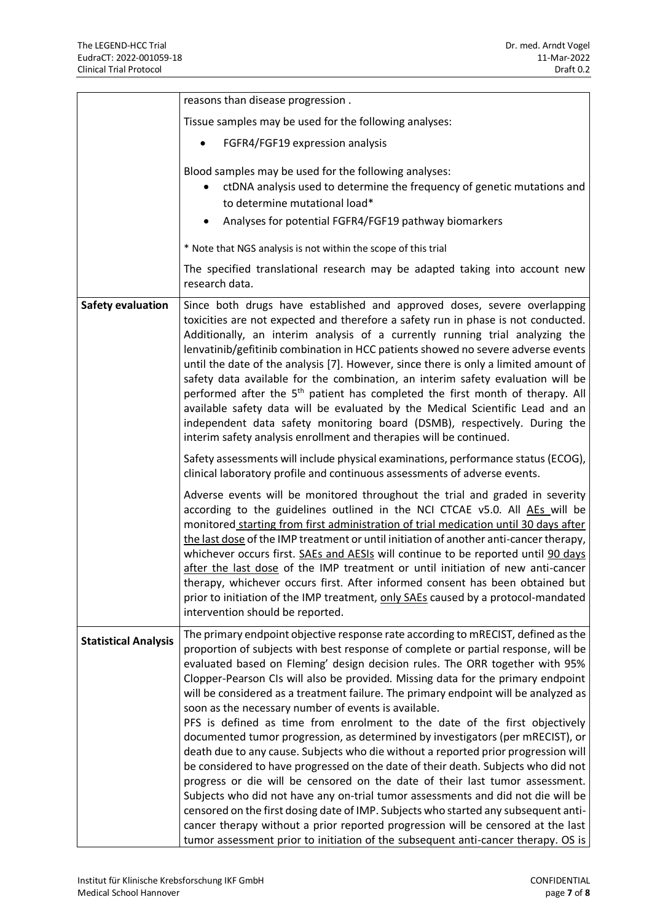|                             | reasons than disease progression.                                                                                                                                                                                                                                                                                                                                                                                                                                                                                                                                                                                                                                                                                                                                                                                                                                                                                                                                                                                                                                                                                                                                                                                                                                         |
|-----------------------------|---------------------------------------------------------------------------------------------------------------------------------------------------------------------------------------------------------------------------------------------------------------------------------------------------------------------------------------------------------------------------------------------------------------------------------------------------------------------------------------------------------------------------------------------------------------------------------------------------------------------------------------------------------------------------------------------------------------------------------------------------------------------------------------------------------------------------------------------------------------------------------------------------------------------------------------------------------------------------------------------------------------------------------------------------------------------------------------------------------------------------------------------------------------------------------------------------------------------------------------------------------------------------|
|                             | Tissue samples may be used for the following analyses:                                                                                                                                                                                                                                                                                                                                                                                                                                                                                                                                                                                                                                                                                                                                                                                                                                                                                                                                                                                                                                                                                                                                                                                                                    |
|                             | FGFR4/FGF19 expression analysis                                                                                                                                                                                                                                                                                                                                                                                                                                                                                                                                                                                                                                                                                                                                                                                                                                                                                                                                                                                                                                                                                                                                                                                                                                           |
|                             | Blood samples may be used for the following analyses:<br>ctDNA analysis used to determine the frequency of genetic mutations and<br>to determine mutational load*<br>Analyses for potential FGFR4/FGF19 pathway biomarkers                                                                                                                                                                                                                                                                                                                                                                                                                                                                                                                                                                                                                                                                                                                                                                                                                                                                                                                                                                                                                                                |
|                             | * Note that NGS analysis is not within the scope of this trial                                                                                                                                                                                                                                                                                                                                                                                                                                                                                                                                                                                                                                                                                                                                                                                                                                                                                                                                                                                                                                                                                                                                                                                                            |
|                             | The specified translational research may be adapted taking into account new<br>research data.                                                                                                                                                                                                                                                                                                                                                                                                                                                                                                                                                                                                                                                                                                                                                                                                                                                                                                                                                                                                                                                                                                                                                                             |
| <b>Safety evaluation</b>    | Since both drugs have established and approved doses, severe overlapping<br>toxicities are not expected and therefore a safety run in phase is not conducted.<br>Additionally, an interim analysis of a currently running trial analyzing the<br>lenvatinib/gefitinib combination in HCC patients showed no severe adverse events<br>until the date of the analysis [7]. However, since there is only a limited amount of<br>safety data available for the combination, an interim safety evaluation will be<br>performed after the 5 <sup>th</sup> patient has completed the first month of therapy. All<br>available safety data will be evaluated by the Medical Scientific Lead and an<br>independent data safety monitoring board (DSMB), respectively. During the<br>interim safety analysis enrollment and therapies will be continued.<br>Safety assessments will include physical examinations, performance status (ECOG),                                                                                                                                                                                                                                                                                                                                       |
|                             | clinical laboratory profile and continuous assessments of adverse events.                                                                                                                                                                                                                                                                                                                                                                                                                                                                                                                                                                                                                                                                                                                                                                                                                                                                                                                                                                                                                                                                                                                                                                                                 |
|                             | Adverse events will be monitored throughout the trial and graded in severity<br>according to the guidelines outlined in the NCI CTCAE v5.0. All AEs will be<br>monitored starting from first administration of trial medication until 30 days after<br>the last dose of the IMP treatment or until initiation of another anti-cancer therapy,<br>whichever occurs first. SAEs and AESIs will continue to be reported until 90 days<br>after the last dose of the IMP treatment or until initiation of new anti-cancer<br>therapy, whichever occurs first. After informed consent has been obtained but<br>prior to initiation of the IMP treatment, only SAEs caused by a protocol-mandated<br>intervention should be reported.                                                                                                                                                                                                                                                                                                                                                                                                                                                                                                                                           |
| <b>Statistical Analysis</b> | The primary endpoint objective response rate according to mRECIST, defined as the<br>proportion of subjects with best response of complete or partial response, will be<br>evaluated based on Fleming' design decision rules. The ORR together with 95%<br>Clopper-Pearson CIs will also be provided. Missing data for the primary endpoint<br>will be considered as a treatment failure. The primary endpoint will be analyzed as<br>soon as the necessary number of events is available.<br>PFS is defined as time from enrolment to the date of the first objectively<br>documented tumor progression, as determined by investigators (per mRECIST), or<br>death due to any cause. Subjects who die without a reported prior progression will<br>be considered to have progressed on the date of their death. Subjects who did not<br>progress or die will be censored on the date of their last tumor assessment.<br>Subjects who did not have any on-trial tumor assessments and did not die will be<br>censored on the first dosing date of IMP. Subjects who started any subsequent anti-<br>cancer therapy without a prior reported progression will be censored at the last<br>tumor assessment prior to initiation of the subsequent anti-cancer therapy. OS is |